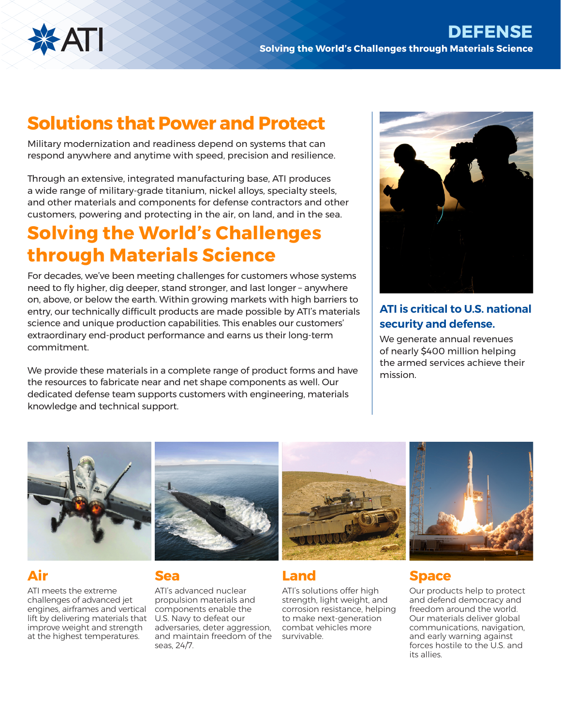

# **Solutions that Power and Protect**

Military modernization and readiness depend on systems that can respond anywhere and anytime with speed, precision and resilience.

Through an extensive, integrated manufacturing base, ATI produces a wide range of military-grade titanium, nickel alloys, specialty steels, and other materials and components for defense contractors and other customers, powering and protecting in the air, on land, and in the sea.

# **Solving the World's Challenges through Materials Science**

For decades, we've been meeting challenges for customers whose systems need to fly higher, dig deeper, stand stronger, and last longer – anywhere on, above, or below the earth. Within growing markets with high barriers to entry, our technically difficult products are made possible by ATI's materials science and unique production capabilities. This enables our customers' extraordinary end-product performance and earns us their long-term commitment.

We provide these materials in a complete range of product forms and have the resources to fabricate near and net shape components as well. Our dedicated defense team supports customers with engineering, materials knowledge and technical support.



## **ATI is critical to U.S. national security and defense.**

We generate annual revenues of nearly \$400 million helping the armed services achieve their mission.



## **Air**

ATI meets the extreme challenges of advanced jet engines, airframes and vertical lift by delivering materials that improve weight and strength at the highest temperatures.



## **Sea**

ATI's advanced nuclear propulsion materials and components enable the U.S. Navy to defeat our adversaries, deter aggression, and maintain freedom of the seas, 24/7.



## **Land**

ATI's solutions offer high strength, light weight, and corrosion resistance, helping to make next-generation combat vehicles more survivable.



## **Space**

Our products help to protect and defend democracy and freedom around the world. Our materials deliver global communications, navigation, and early warning against forces hostile to the U.S. and its allies.